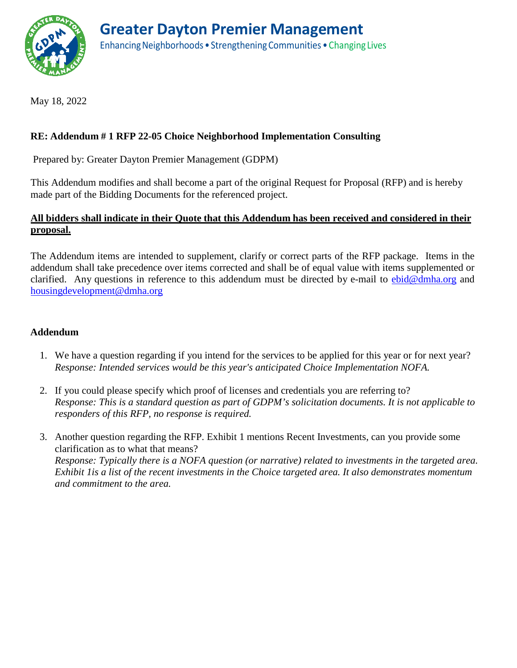

May 18, 2022

## **RE: Addendum # 1 RFP 22-05 Choice Neighborhood Implementation Consulting**

Prepared by: Greater Dayton Premier Management (GDPM)

This Addendum modifies and shall become a part of the original Request for Proposal (RFP) and is hereby made part of the Bidding Documents for the referenced project.

## **All bidders shall indicate in their Quote that this Addendum has been received and considered in their proposal.**

The Addendum items are intended to supplement, clarify or correct parts of the RFP package. Items in the addendum shall take precedence over items corrected and shall be of equal value with items supplemented or clarified. Any questions in reference to this addendum must be directed by e-mail to  $ebid@dmha.org$  and [housingdevelopment@dmha.org](mailto:housingdevelopment@dmha.org)

## **Addendum**

- 1. We have a question regarding if you intend for the services to be applied for this year or for next year? *Response: Intended services would be this year's anticipated Choice Implementation NOFA.*
- 2. If you could please specify which proof of licenses and credentials you are referring to? *Response: This is a standard question as part of GDPM's solicitation documents. It is not applicable to responders of this RFP, no response is required.*
- 3. Another question regarding the RFP. Exhibit 1 mentions Recent Investments, can you provide some clarification as to what that means? *Response: Typically there is a NOFA question (or narrative) related to investments in the targeted area. Exhibit 1is a list of the recent investments in the Choice targeted area. It also demonstrates momentum and commitment to the area.*